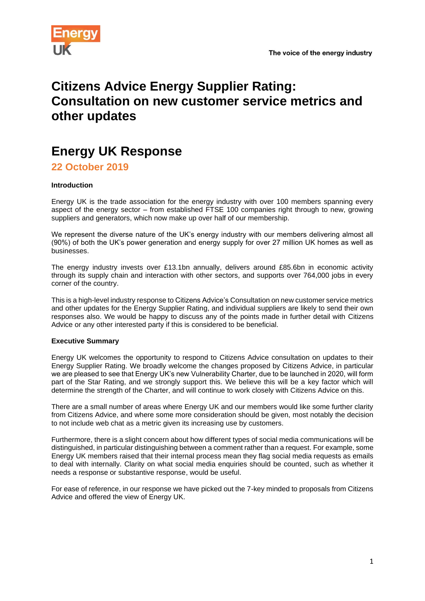

# **Citizens Advice Energy Supplier Rating: Consultation on new customer service metrics and other updates**

## **Energy UK Response**

**22 October 2019**

## **Introduction**

Energy UK is the trade association for the energy industry with over 100 members spanning every aspect of the energy sector – from established FTSE 100 companies right through to new, growing suppliers and generators, which now make up over half of our membership.

We represent the diverse nature of the UK's energy industry with our members delivering almost all (90%) of both the UK's power generation and energy supply for over 27 million UK homes as well as businesses.

The energy industry invests over £13.1bn annually, delivers around £85.6bn in economic activity through its supply chain and interaction with other sectors, and supports over 764,000 jobs in every corner of the country.

This is a high-level industry response to Citizens Advice's Consultation on new customer service metrics and other updates for the Energy Supplier Rating, and individual suppliers are likely to send their own responses also. We would be happy to discuss any of the points made in further detail with Citizens Advice or any other interested party if this is considered to be beneficial.

## **Executive Summary**

Energy UK welcomes the opportunity to respond to Citizens Advice consultation on updates to their Energy Supplier Rating. We broadly welcome the changes proposed by Citizens Advice, in particular we are pleased to see that Energy UK's new Vulnerability Charter, due to be launched in 2020, will form part of the Star Rating, and we strongly support this. We believe this will be a key factor which will determine the strength of the Charter, and will continue to work closely with Citizens Advice on this.

There are a small number of areas where Energy UK and our members would like some further clarity from Citizens Advice, and where some more consideration should be given, most notably the decision to not include web chat as a metric given its increasing use by customers.

Furthermore, there is a slight concern about how different types of social media communications will be distinguished, in particular distinguishing between a comment rather than a request. For example, some Energy UK members raised that their internal process mean they flag social media requests as emails to deal with internally. Clarity on what social media enquiries should be counted, such as whether it needs a response or substantive response, would be useful.

For ease of reference, in our response we have picked out the 7-key minded to proposals from Citizens Advice and offered the view of Energy UK.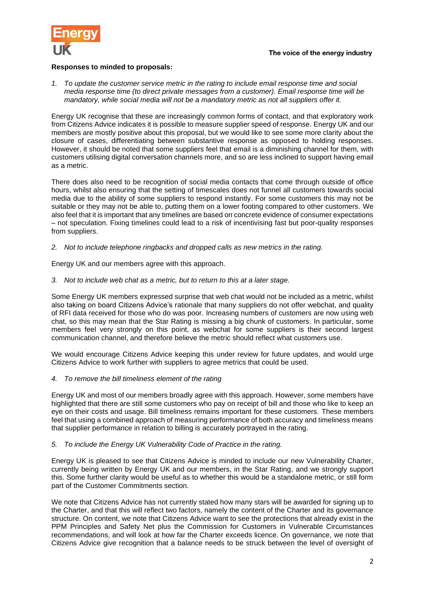

## **Responses to minded to proposals:**

*1. To update the customer service metric in the rating to include email response time and social media response time (to direct private messages from a customer). Email response time will be mandatory, while social media will not be a mandatory metric as not all suppliers offer it.*

Energy UK recognise that these are increasingly common forms of contact, and that exploratory work from Citizens Advice indicates it is possible to measure supplier speed of response. Energy UK and our members are mostly positive about this proposal, but we would like to see some more clarity about the closure of cases, differentiating between substantive response as opposed to holding responses. However, it should be noted that some suppliers feel that email is a diminishing channel for them, with customers utilising digital conversation channels more, and so are less inclined to support having email as a metric.

There does also need to be recognition of social media contacts that come through outside of office hours, whilst also ensuring that the setting of timescales does not funnel all customers towards social media due to the ability of some suppliers to respond instantly. For some customers this may not be suitable or they may not be able to, putting them on a lower footing compared to other customers. We also feel that it is important that any timelines are based on concrete evidence of consumer expectations – not speculation. Fixing timelines could lead to a risk of incentivising fast but poor-quality responses from suppliers.

*2. Not to include telephone ringbacks and dropped calls as new metrics in the rating.*

Energy UK and our members agree with this approach.

*3. Not to include web chat as a metric, but to return to this at a later stage.*

Some Energy UK members expressed surprise that web chat would not be included as a metric, whilst also taking on board Citizens Advice's rationale that many suppliers do not offer webchat, and quality of RFI data received for those who do was poor. Increasing numbers of customers are now using web chat, so this may mean that the Star Rating is missing a big chunk of customers. In particular, some members feel very strongly on this point, as webchat for some suppliers is their second largest communication channel, and therefore believe the metric should reflect what customers use.

We would encourage Citizens Advice keeping this under review for future updates, and would urge Citizens Advice to work further with suppliers to agree metrics that could be used.

#### *4. To remove the bill timeliness element of the rating*

Energy UK and most of our members broadly agree with this approach. However, some members have highlighted that there are still some customers who pay on receipt of bill and those who like to keep an eye on their costs and usage. Bill timeliness remains important for these customers. These members feel that using a combined approach of measuring performance of both accuracy and timeliness means that supplier performance in relation to billing is accurately portrayed in the rating.

#### *5. To include the Energy UK Vulnerability Code of Practice in the rating.*

Energy UK is pleased to see that Citizens Advice is minded to include our new Vulnerability Charter, currently being written by Energy UK and our members, in the Star Rating, and we strongly support this. Some further clarity would be useful as to whether this would be a standalone metric, or still form part of the Customer Commitments section.

We note that Citizens Advice has not currently stated how many stars will be awarded for signing up to the Charter, and that this will reflect two factors, namely the content of the Charter and its governance structure. On content, we note that Citizens Advice want to see the protections that already exist in the PPM Principles and Safety Net plus the Commission for Customers in Vulnerable Circumstances recommendations, and will look at how far the Charter exceeds licence. On governance, we note that Citizens Advice give recognition that a balance needs to be struck between the level of oversight of